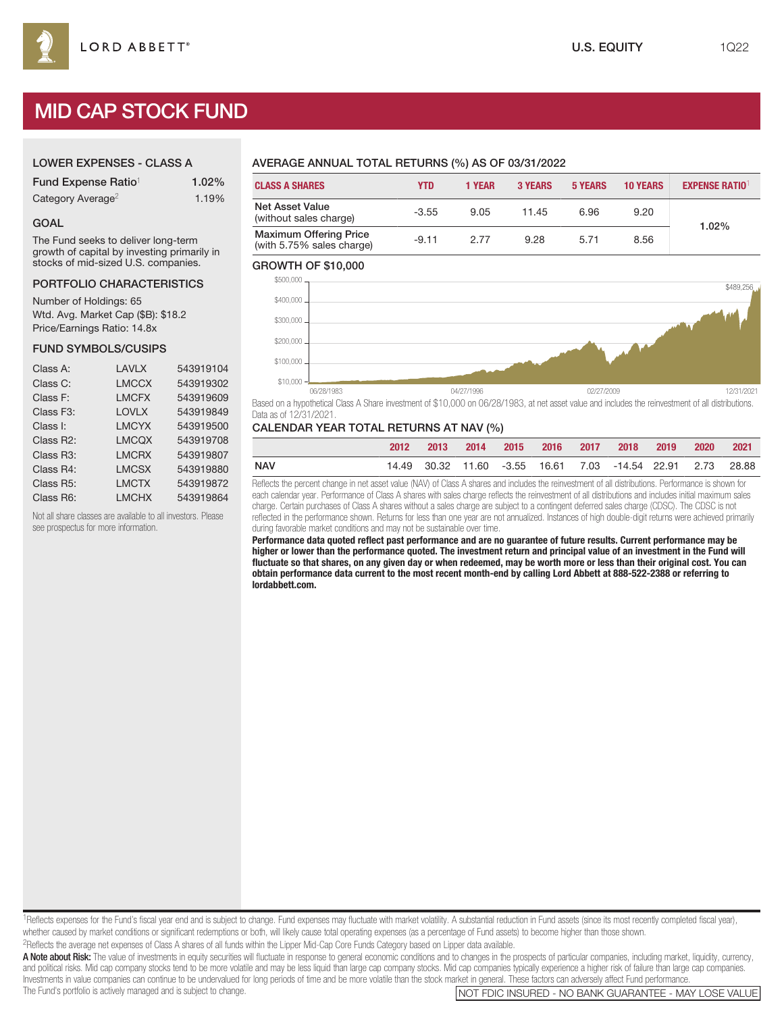# MID CAP STOCK FUND

## LOWER EXPENSES - CLASS A

| Fund Expense Ratio <sup>1</sup> | 1.02% |
|---------------------------------|-------|
| Category Average <sup>2</sup>   | 1.19% |

#### GOAL

The Fund seeks to deliver long-term growth of capital by investing primarily in stocks of mid-sized U.S. companies.

#### PORTFOLIO CHARACTERISTICS

Number of Holdings: 65 Wtd. Avg. Market Cap (\$B): \$18.2 Price/Earnings Ratio: 14.8x

#### FUND SYMBOLS/CUSIPS

| Class A:               | LAVLX        | 543919104 |
|------------------------|--------------|-----------|
| Class C:               | <b>LMCCX</b> | 543919302 |
| Class F:               | <b>LMCFX</b> | 543919609 |
| Class F <sub>3</sub> : | <b>LOVLX</b> | 543919849 |
| Class I:               | <b>LMCYX</b> | 543919500 |
| Class R2:              | <b>LMCQX</b> | 543919708 |
| Class R <sub>3</sub> : | <b>LMCRX</b> | 543919807 |
| Class R4:              | <b>LMCSX</b> | 543919880 |
| Class R <sub>5</sub> : | <b>LMCTX</b> | 543919872 |
| Class R6:              | <b>LMCHX</b> | 543919864 |

Not all share classes are available to all investors. Please see prospectus for more information.

## AVERAGE ANNUAL TOTAL RETURNS (%) AS OF 03/31/2022

| <b>CLASS A SHARES</b>                                      | YTD     | 1 YEAR | <b>3 YEARS</b> | <b>5 YEARS</b> | <b>10 YEARS</b> | <b>EXPENSE RATIO1</b> |  |
|------------------------------------------------------------|---------|--------|----------------|----------------|-----------------|-----------------------|--|
| Net Asset Value<br>(without sales charge)                  | $-3.55$ | 9.05   | 11.45          | 6.96           | 9.20            | 1.02%                 |  |
| <b>Maximum Offering Price</b><br>(with 5.75% sales charge) | $-9.11$ | 2.77   | 9.28           | 5.71           | 8.56            |                       |  |

#### GROWTH OF \$10,000



Based on a hypothetical Class A Share investment of \$10,000 on 06/28/1983, at net asset value and includes the reinvestment of all distributions. Data as of 12/31/2021.

### CALENDAR YEAR TOTAL RETURNS AT NAV (%)

|            | 2012 |  |  | 2013 2014 2015 2016 2017 2018 2019                         | 2020 2021 |  |
|------------|------|--|--|------------------------------------------------------------|-----------|--|
| <b>NAV</b> |      |  |  | 14.49 30.32 11.60 -3.55 16.61 7.03 -14.54 22.91 2.73 28.88 |           |  |

Reflects the percent change in net asset value (NAV) of Class A shares and includes the reinvestment of all distributions. Performance is shown for each calendar year. Performance of Class A shares with sales charge reflects the reinvestment of all distributions and includes initial maximum sales charge. Certain purchases of Class A shares without a sales charge are subject to a contingent deferred sales charge (CDSC). The CDSC is not reflected in the performance shown. Returns for less than one year are not annualized. Instances of high double-digit returns were achieved primarily during favorable market conditions and may not be sustainable over time.

**Performance data quoted reflect past performance and are no guarantee of future results. Current performance may be higher or lower than the performance quoted. The investment return and principal value of an investment in the Fund will fluctuate so that shares, on any given day or when redeemed, may be worth more or less than their original cost. You can obtain performance data current to the most recent month-end by calling Lord Abbett at 888-522-2388 or referring to lordabbett.com.**

<sup>1</sup>Reflects expenses for the Fund's fiscal year end and is subject to change. Fund expenses may fluctuate with market volatility. A substantial reduction in Fund assets (since its most recently completed fiscal year), whether caused by market conditions or significant redemptions or both, will likely cause total operating expenses (as a percentage of Fund assets) to become higher than those shown.

2Reflects the average net expenses of Class A shares of all funds within the Lipper Mid-Cap Core Funds Category based on Lipper data available.

A Note about Risk: The value of investments in equity securities will fluctuate in response to general economic conditions and to changes in the prospects of particular companies, including market, liquidity, currency, and political risks. Mid cap company stocks tend to be more volatile and may be less liquid than large cap company stocks. Mid cap companies typically experience a higher risk of failure than large cap companies. Investments in value companies can continue to be undervalued for long periods of time and be more volatile than the stock market in general. These factors can adversely affect Fund performance.